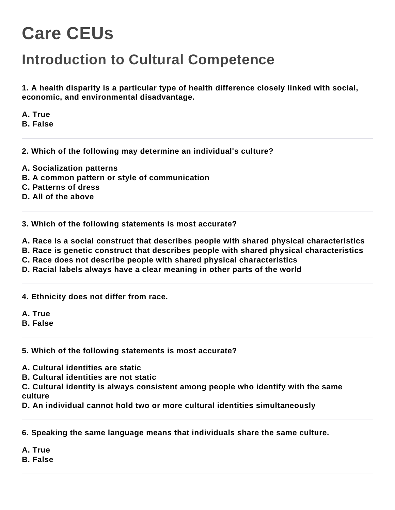## **Care CEUs**

## **Introduction to Cultural Competence**

**1. A health disparity is a particular type of health difference closely linked with social, economic, and environmental disadvantage.**

**A. True**

**B. False**

**2. Which of the following may determine an individual's culture?**

**A. Socialization patterns**

**B. A common pattern or style of communication**

**C. Patterns of dress**

**D. All of the above**

**3. Which of the following statements is most accurate?**

**A. Race is a social construct that describes people with shared physical characteristics**

**B. Race is genetic construct that describes people with shared physical characteristics**

**C. Race does not describe people with shared physical characteristics**

**D. Racial labels always have a clear meaning in other parts of the world**

**4. Ethnicity does not differ from race.**

**A. True**

**B. False**

**5. Which of the following statements is most accurate?**

**A. Cultural identities are static**

**B. Cultural identities are not static**

**C. Cultural identity is always consistent among people who identify with the same culture**

**D. An individual cannot hold two or more cultural identities simultaneously**

**6. Speaking the same language means that individuals share the same culture.**

**A. True**

**B. False**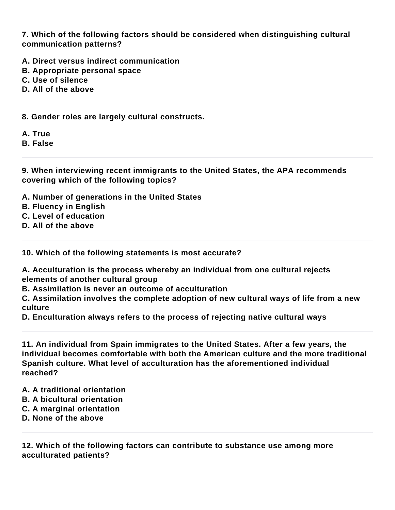**7. Which of the following factors should be considered when distinguishing cultural communication patterns?**

- **A. Direct versus indirect communication**
- **B. Appropriate personal space**
- **C. Use of silence**
- **D. All of the above**

**8. Gender roles are largely cultural constructs.**

- **A. True**
- **B. False**

**9. When interviewing recent immigrants to the United States, the APA recommends covering which of the following topics?**

- **A. Number of generations in the United States**
- **B. Fluency in English**
- **C. Level of education**
- **D. All of the above**

**10. Which of the following statements is most accurate?**

**A. Acculturation is the process whereby an individual from one cultural rejects elements of another cultural group**

**B. Assimilation is never an outcome of acculturation**

**C. Assimilation involves the complete adoption of new cultural ways of life from a new culture**

**D. Enculturation always refers to the process of rejecting native cultural ways**

**11. An individual from Spain immigrates to the United States. After a few years, the individual becomes comfortable with both the American culture and the more traditional Spanish culture. What level of acculturation has the aforementioned individual reached?**

- **A. A traditional orientation**
- **B. A bicultural orientation**
- **C. A marginal orientation**
- **D. None of the above**

**12. Which of the following factors can contribute to substance use among more acculturated patients?**